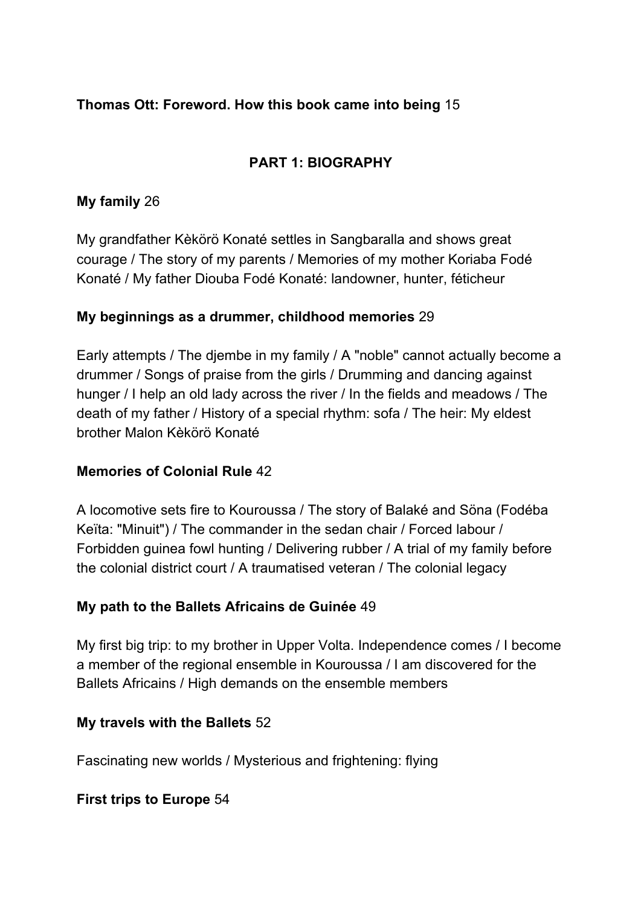#### **Thomas Ott: Foreword. How this book came into being** 15

## **PART 1: BIOGRAPHY**

#### **My family** 26

My grandfather Kèkörö Konaté settles in Sangbaralla and shows great courage / The story of my parents / Memories of my mother Koriaba Fodé Konaté / My father Diouba Fodé Konaté: landowner, hunter, féticheur

#### **My beginnings as a drummer, childhood memories** 29

Early attempts / The djembe in my family / A "noble" cannot actually become a drummer / Songs of praise from the girls / Drumming and dancing against hunger / I help an old lady across the river / In the fields and meadows / The death of my father / History of a special rhythm: sofa / The heir: My eldest brother Malon Kèkörö Konaté

#### **Memories of Colonial Rule** 42

A locomotive sets fire to Kouroussa / The story of Balaké and Söna (Fodéba Keïta: "Minuit") / The commander in the sedan chair / Forced labour / Forbidden guinea fowl hunting / Delivering rubber / A trial of my family before the colonial district court / A traumatised veteran / The colonial legacy

#### **My path to the Ballets Africains de Guinée** 49

My first big trip: to my brother in Upper Volta. Independence comes / I become a member of the regional ensemble in Kouroussa / I am discovered for the Ballets Africains / High demands on the ensemble members

#### **My travels with the Ballets** 52

Fascinating new worlds / Mysterious and frightening: flying

### **First trips to Europe** 54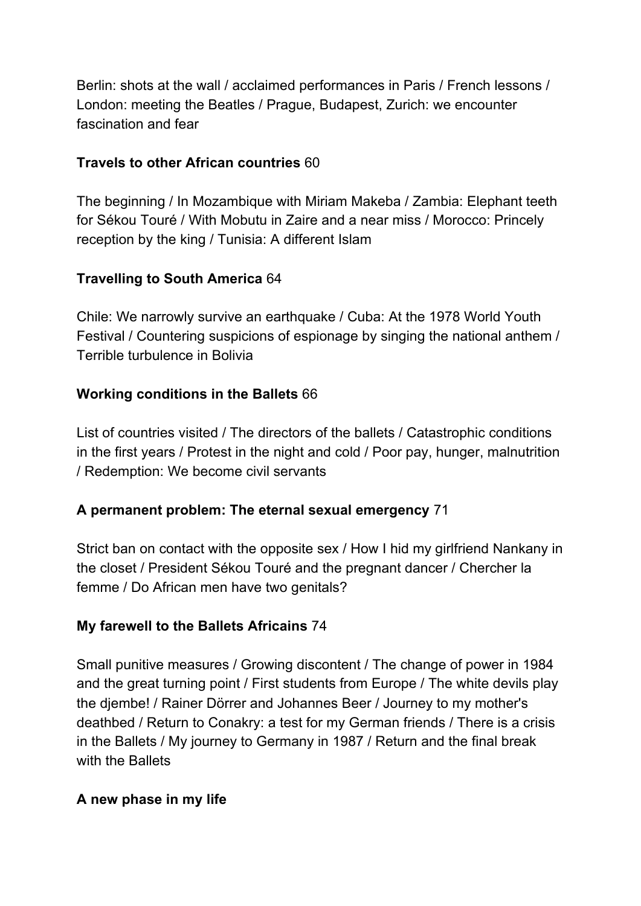Berlin: shots at the wall / acclaimed performances in Paris / French lessons / London: meeting the Beatles / Prague, Budapest, Zurich: we encounter fascination and fear

## **Travels to other African countries** 60

The beginning / In Mozambique with Miriam Makeba / Zambia: Elephant teeth for Sékou Touré / With Mobutu in Zaire and a near miss / Morocco: Princely reception by the king / Tunisia: A different Islam

# **Travelling to South America** 64

Chile: We narrowly survive an earthquake / Cuba: At the 1978 World Youth Festival / Countering suspicions of espionage by singing the national anthem / Terrible turbulence in Bolivia

## **Working conditions in the Ballets** 66

List of countries visited / The directors of the ballets / Catastrophic conditions in the first years / Protest in the night and cold / Poor pay, hunger, malnutrition / Redemption: We become civil servants

### **A permanent problem: The eternal sexual emergency** 71

Strict ban on contact with the opposite sex / How I hid my girlfriend Nankany in the closet / President Sékou Touré and the pregnant dancer / Chercher la femme / Do African men have two genitals?

### **My farewell to the Ballets Africains** 74

Small punitive measures / Growing discontent / The change of power in 1984 and the great turning point / First students from Europe / The white devils play the djembe! / Rainer Dörrer and Johannes Beer / Journey to my mother's deathbed / Return to Conakry: a test for my German friends / There is a crisis in the Ballets / My journey to Germany in 1987 / Return and the final break with the Ballets

### **A new phase in my life**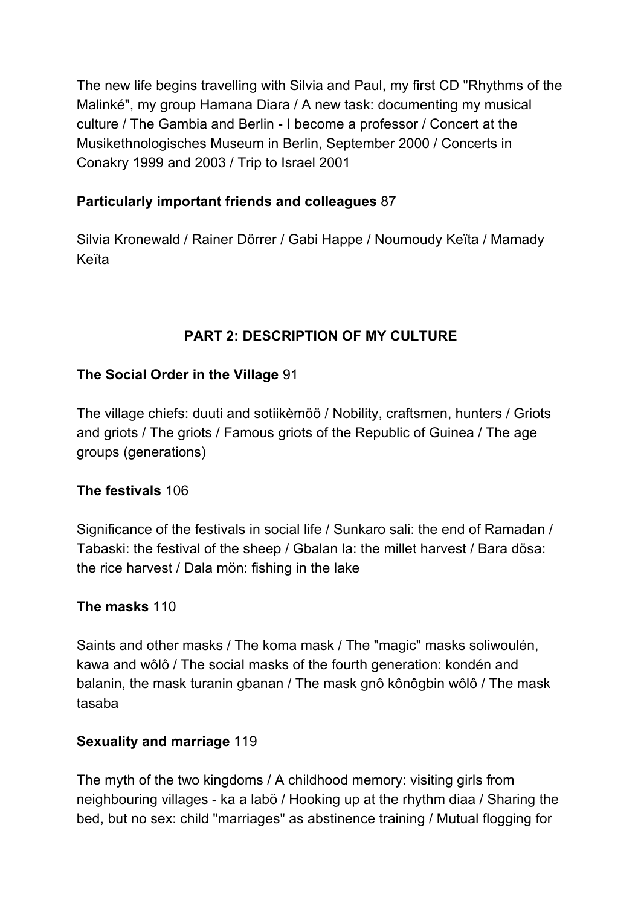The new life begins travelling with Silvia and Paul, my first CD "Rhythms of the Malinké", my group Hamana Diara / A new task: documenting my musical culture / The Gambia and Berlin - I become a professor / Concert at the Musikethnologisches Museum in Berlin, September 2000 / Concerts in Conakry 1999 and 2003 / Trip to Israel 2001

### **Particularly important friends and colleagues** 87

Silvia Kronewald / Rainer Dörrer / Gabi Happe / Noumoudy Keïta / Mamady Keïta

# **PART 2: DESCRIPTION OF MY CULTURE**

#### **The Social Order in the Village** 91

The village chiefs: duuti and sotiikèmöö / Nobility, craftsmen, hunters / Griots and griots / The griots / Famous griots of the Republic of Guinea / The age groups (generations)

#### **The festivals** 106

Significance of the festivals in social life / Sunkaro sali: the end of Ramadan / Tabaski: the festival of the sheep / Gbalan la: the millet harvest / Bara dösa: the rice harvest / Dala mön: fishing in the lake

#### **The masks** 110

Saints and other masks / The koma mask / The "magic" masks soliwoulén, kawa and wôlô / The social masks of the fourth generation: kondén and balanin, the mask turanin gbanan / The mask gnô kônôgbin wôlô / The mask tasaba

#### **Sexuality and marriage** 119

The myth of the two kingdoms / A childhood memory: visiting girls from neighbouring villages - ka a labö / Hooking up at the rhythm diaa / Sharing the bed, but no sex: child "marriages" as abstinence training / Mutual flogging for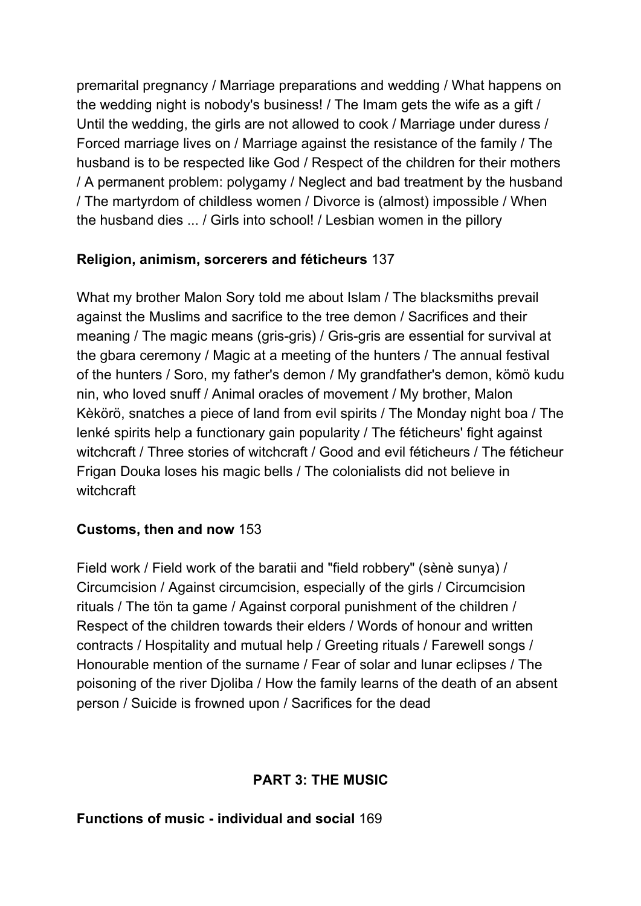premarital pregnancy / Marriage preparations and wedding / What happens on the wedding night is nobody's business! / The Imam gets the wife as a gift / Until the wedding, the girls are not allowed to cook / Marriage under duress / Forced marriage lives on / Marriage against the resistance of the family / The husband is to be respected like God / Respect of the children for their mothers / A permanent problem: polygamy / Neglect and bad treatment by the husband / The martyrdom of childless women / Divorce is (almost) impossible / When the husband dies ... / Girls into school! / Lesbian women in the pillory

## **Religion, animism, sorcerers and féticheurs** 137

What my brother Malon Sory told me about Islam / The blacksmiths prevail against the Muslims and sacrifice to the tree demon / Sacrifices and their meaning / The magic means (gris-gris) / Gris-gris are essential for survival at the gbara ceremony / Magic at a meeting of the hunters / The annual festival of the hunters / Soro, my father's demon / My grandfather's demon, kömö kudu nin, who loved snuff / Animal oracles of movement / My brother, Malon Kèkörö, snatches a piece of land from evil spirits / The Monday night boa / The lenké spirits help a functionary gain popularity / The féticheurs' fight against witchcraft / Three stories of witchcraft / Good and evil féticheurs / The féticheur Frigan Douka loses his magic bells / The colonialists did not believe in witchcraft

### **Customs, then and now** 153

Field work / Field work of the baratii and "field robbery" (sènè sunya) / Circumcision / Against circumcision, especially of the girls / Circumcision rituals / The tön ta game / Against corporal punishment of the children / Respect of the children towards their elders / Words of honour and written contracts / Hospitality and mutual help / Greeting rituals / Farewell songs / Honourable mention of the surname / Fear of solar and lunar eclipses / The poisoning of the river Djoliba / How the family learns of the death of an absent person / Suicide is frowned upon / Sacrifices for the dead

# **PART 3: THE MUSIC**

### **Functions of music - individual and social** 169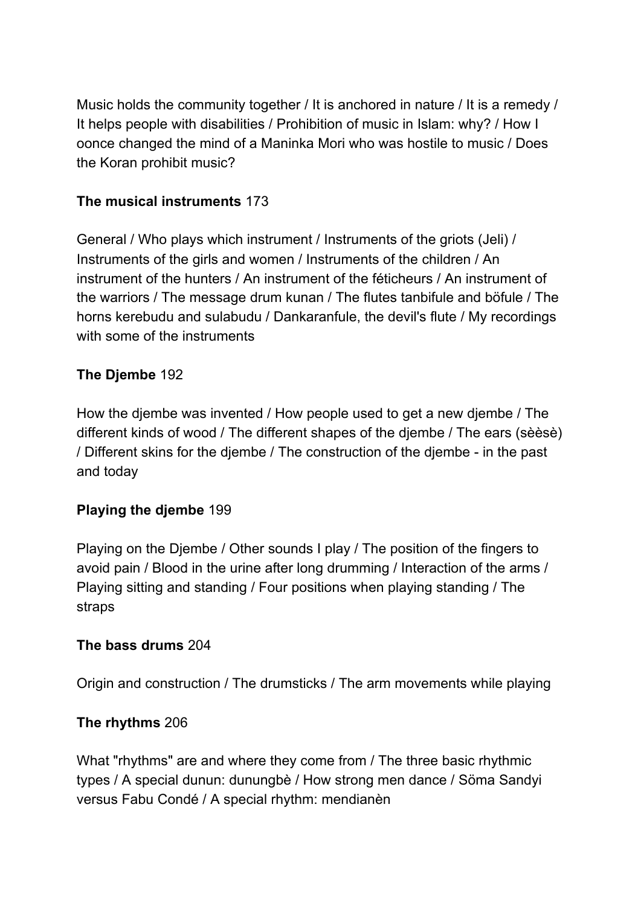Music holds the community together / It is anchored in nature / It is a remedy / It helps people with disabilities / Prohibition of music in Islam: why? / How I oonce changed the mind of a Maninka Mori who was hostile to music / Does the Koran prohibit music?

#### **The musical instruments** 173

General / Who plays which instrument / Instruments of the griots (Jeli) / Instruments of the girls and women / Instruments of the children / An instrument of the hunters / An instrument of the féticheurs / An instrument of the warriors / The message drum kunan / The flutes tanbifule and böfule / The horns kerebudu and sulabudu / Dankaranfule, the devil's flute / My recordings with some of the instruments

#### **The Djembe** 192

How the djembe was invented / How people used to get a new djembe / The different kinds of wood / The different shapes of the djembe / The ears (sèèsè) / Different skins for the djembe / The construction of the djembe - in the past and today

#### **Playing the djembe** 199

Playing on the Djembe / Other sounds I play / The position of the fingers to avoid pain / Blood in the urine after long drumming / Interaction of the arms / Playing sitting and standing / Four positions when playing standing / The straps

#### **The bass drums** 204

Origin and construction / The drumsticks / The arm movements while playing

#### **The rhythms** 206

What "rhythms" are and where they come from / The three basic rhythmic types / A special dunun: dunungbè / How strong men dance / Söma Sandyi versus Fabu Condé / A special rhythm: mendianèn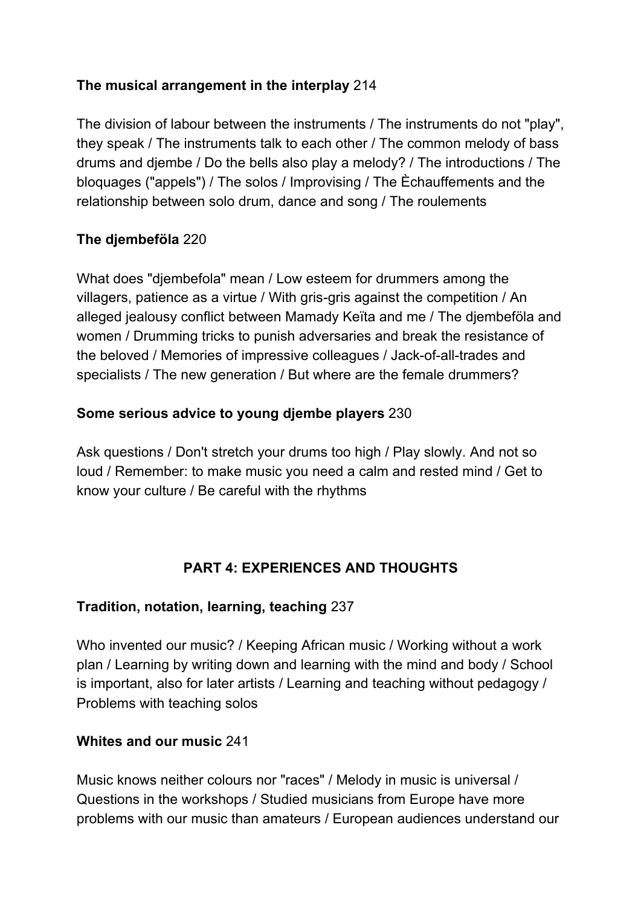## **The musical arrangement in the interplay** 214

The division of labour between the instruments / The instruments do not "play", they speak / The instruments talk to each other / The common melody of bass drums and djembe / Do the bells also play a melody? / The introductions / The bloquages ("appels") / The solos / Improvising / The Èchauffements and the relationship between solo drum, dance and song / The roulements

## **The djembeföla** 220

What does "djembefola" mean / Low esteem for drummers among the villagers, patience as a virtue / With gris-gris against the competition / An alleged jealousy conflict between Mamady Keïta and me / The djembeföla and women / Drumming tricks to punish adversaries and break the resistance of the beloved / Memories of impressive colleagues / Jack-of-all-trades and specialists / The new generation / But where are the female drummers?

### **Some serious advice to young djembe players** 230

Ask questions / Don't stretch your drums too high / Play slowly. And not so loud / Remember: to make music you need a calm and rested mind / Get to know your culture / Be careful with the rhythms

# **PART 4: EXPERIENCES AND THOUGHTS**

### **Tradition, notation, learning, teaching** 237

Who invented our music? / Keeping African music / Working without a work plan / Learning by writing down and learning with the mind and body / School is important, also for later artists / Learning and teaching without pedagogy / Problems with teaching solos

### **Whites and our music** 241

Music knows neither colours nor "races" / Melody in music is universal / Questions in the workshops / Studied musicians from Europe have more problems with our music than amateurs / European audiences understand our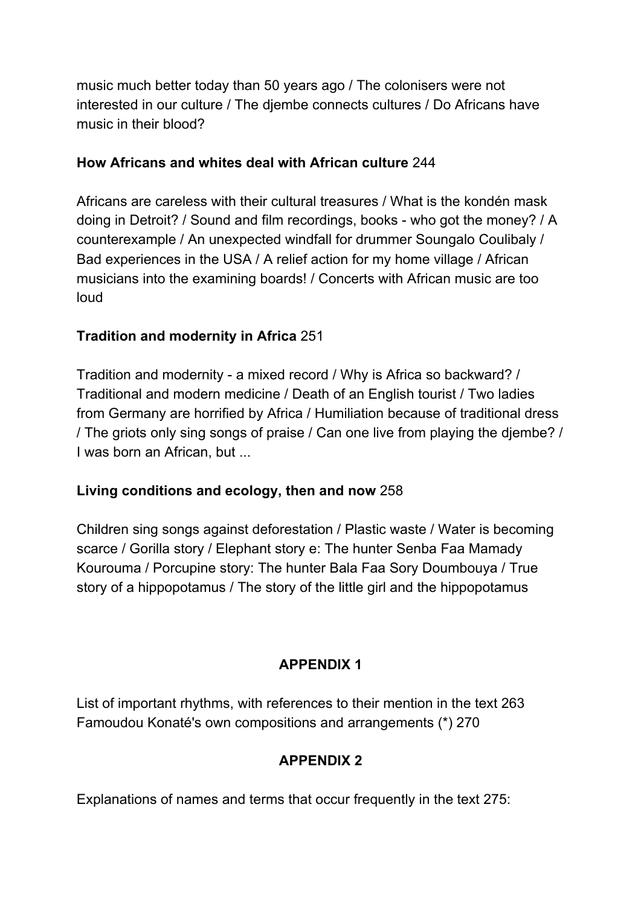music much better today than 50 years ago / The colonisers were not interested in our culture / The djembe connects cultures / Do Africans have music in their blood?

#### **How Africans and whites deal with African culture** 244

Africans are careless with their cultural treasures / What is the kondén mask doing in Detroit? / Sound and film recordings, books - who got the money? / A counterexample / An unexpected windfall for drummer Soungalo Coulibaly / Bad experiences in the USA / A relief action for my home village / African musicians into the examining boards! / Concerts with African music are too loud

### **Tradition and modernity in Africa** 251

Tradition and modernity - a mixed record / Why is Africa so backward? / Traditional and modern medicine / Death of an English tourist / Two ladies from Germany are horrified by Africa / Humiliation because of traditional dress / The griots only sing songs of praise / Can one live from playing the djembe? / I was born an African, but ...

### **Living conditions and ecology, then and now** 258

Children sing songs against deforestation / Plastic waste / Water is becoming scarce / Gorilla story / Elephant story e: The hunter Senba Faa Mamady Kourouma / Porcupine story: The hunter Bala Faa Sory Doumbouya / True story of a hippopotamus / The story of the little girl and the hippopotamus

# **APPENDIX 1**

List of important rhythms, with references to their mention in the text 263 Famoudou Konaté's own compositions and arrangements (\*) 270

# **APPENDIX 2**

Explanations of names and terms that occur frequently in the text 275: